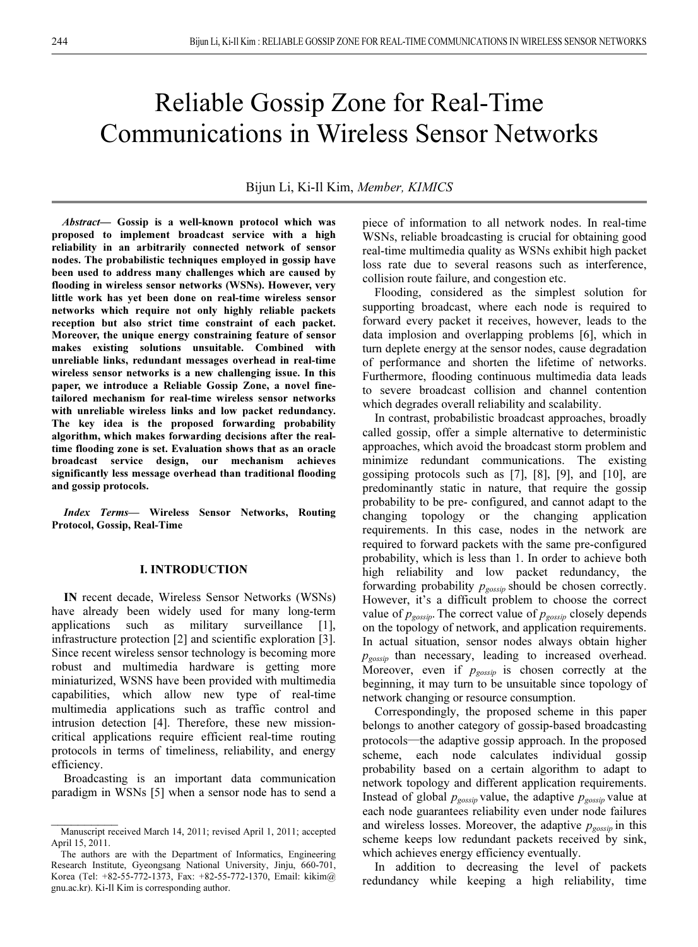# Reliable Gossip Zone for Real-Time Communications in Wireless Sensor Networks

Bijun Li, Ki-Il Kim, Member, KIMICS

Abstract— Gossip is a well-known protocol which was proposed to implement broadcast service with a high reliability in an arbitrarily connected network of sensor nodes. The probabilistic techniques employed in gossip have been used to address many challenges which are caused by flooding in wireless sensor networks (WSNs). However, very little work has yet been done on real-time wireless sensor networks which require not only highly reliable packets reception but also strict time constraint of each packet. Moreover, the unique energy constraining feature of sensor makes existing solutions unsuitable. Combined with unreliable links, redundant messages overhead in real-time wireless sensor networks is a new challenging issue. In this paper, we introduce a Reliable Gossip Zone, a novel finetailored mechanism for real-time wireless sensor networks with unreliable wireless links and low packet redundancy. The key idea is the proposed forwarding probability algorithm, which makes forwarding decisions after the realtime flooding zone is set. Evaluation shows that as an oracle broadcast service design, our mechanism achieves significantly less message overhead than traditional flooding and gossip protocols.

Index Terms— Wireless Sensor Networks, Routing Protocol, Gossip, Real-Time

## I. INTRODUCTION

IN recent decade, Wireless Sensor Networks (WSNs) have already been widely used for many long-term applications such as military surveillance [1], infrastructure protection [2] and scientific exploration [3]. Since recent wireless sensor technology is becoming more robust and multimedia hardware is getting more miniaturized, WSNS have been provided with multimedia capabilities, which allow new type of real-time multimedia applications such as traffic control and intrusion detection [4]. Therefore, these new missioncritical applications require efficient real-time routing protocols in terms of timeliness, reliability, and energy efficiency.

Broadcasting is an important data communication paradigm in WSNs [5] when a sensor node has to send a

 $\frac{1}{2}$ 

piece of information to all network nodes. In real-time WSNs, reliable broadcasting is crucial for obtaining good real-time multimedia quality as WSNs exhibit high packet loss rate due to several reasons such as interference, collision route failure, and congestion etc.

Flooding, considered as the simplest solution for supporting broadcast, where each node is required to forward every packet it receives, however, leads to the data implosion and overlapping problems [6], which in turn deplete energy at the sensor nodes, cause degradation of performance and shorten the lifetime of networks. Furthermore, flooding continuous multimedia data leads to severe broadcast collision and channel contention which degrades overall reliability and scalability.

In contrast, probabilistic broadcast approaches, broadly called gossip, offer a simple alternative to deterministic approaches, which avoid the broadcast storm problem and minimize redundant communications. The existing gossiping protocols such as [7], [8], [9], and [10], are predominantly static in nature, that require the gossip probability to be pre- configured, and cannot adapt to the changing topology or the changing application requirements. In this case, nodes in the network are required to forward packets with the same pre-configured probability, which is less than 1. In order to achieve both high reliability and low packet redundancy, the forwarding probability  $p_{gossip}$  should be chosen correctly. However, it's a difficult problem to choose the correct value of  $p_{\text{gossip}}$ . The correct value of  $p_{\text{gossip}}$  closely depends on the topology of network, and application requirements. In actual situation, sensor nodes always obtain higher  $p_{gossip}$  than necessary, leading to increased overhead. Moreover, even if  $p_{gossip}$  is chosen correctly at the homomorphism is a parameter of the homomorphism of beginning, it may turn to be unsuitable since topology of network changing or resource consumption. on the topology of network, and approach requirements.<br>In actual situation, sensor nodes always obtain higher<br> $p_{gossip}$  than necessary, leading to increased overhead.<br>Moreover, even if  $p_{gossip}$  is chosen correctly at the<br>b

Correspondingly, the proposed scheme in this paper belongs to another category of gossip-based broadcasting scheme, each node calculates individual gossip probability based on a certain algorithm to adapt to network topology and different application requirements. Instead of global  $p_{gossip}$  value, the adaptive  $p_{gossip}$  value at each node guarantees reliability even under node failures and wireless losses. Moreover, the adaptive  $p_{\text{gossip}}$  in this scheme keeps low redundant packets received by sink, which achieves energy efficiency eventually.

In addition to decreasing the level of packets redundancy while keeping a high reliability, time

Manuscript received March 14, 2011; revised April 1, 2011; accepted April 15, 2011.

The authors are with the Department of Informatics, Engineering Research Institute, Gyeongsang National University, Jinju, 660-701, Korea (Tel: +82-55-772-1373, Fax: +82-55-772-1370, Email: kikim@ gnu.ac.kr). Ki-Il Kim is corresponding author.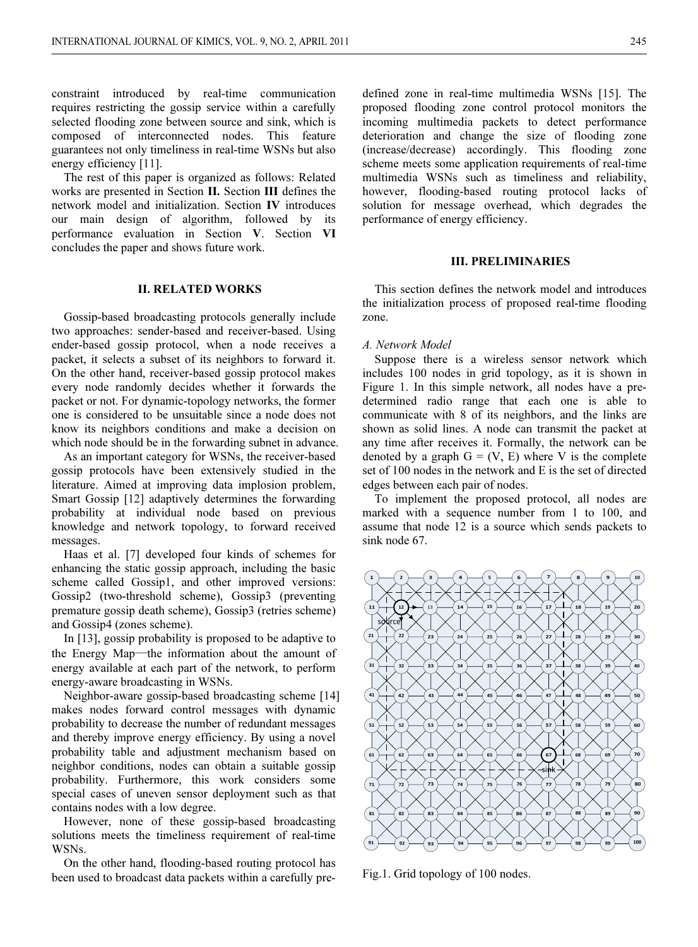constraint introduced by real-time communication requires restricting the gossip service within a carefully selected flooding zone between source and sink, which is composed of interconnected nodes. This feature guarantees not only timeliness in real-time WSNs but also energy efficiency [11].

The rest of this paper is organized as follows: Related works are presented in Section II. Section III defines the network model and initialization. Section IV introduces our main design of algorithm, followed by its performance evaluation in Section V. Section VI concludes the paper and shows future work.

## II. RELATED WORKS

Gossip-based broadcasting protocols generally include two approaches: sender-based and receiver-based. Using ender-based gossip protocol, when a node receives a packet, it selects a subset of its neighbors to forward it. On the other hand, receiver-based gossip protocol makes every node randomly decides whether it forwards the packet or not. For dynamic-topology networks, the former one is considered to be unsuitable since a node does not know its neighbors conditions and make a decision on which node should be in the forwarding subnet in advance.

As an important category for WSNs, the receiver-based gossip protocols have been extensively studied in the literature. Aimed at improving data implosion problem, Smart Gossip [12] adaptively determines the forwarding probability at individual node based on previous knowledge and network topology, to forward received messages.

Haas et al. [7] developed four kinds of schemes for enhancing the static gossip approach, including the basic scheme called Gossip1, and other improved versions: Gossip2 (two-threshold scheme), Gossip3 (preventing premature gossip death scheme), Gossip3 (retries scheme) and Gossip4 (zones scheme). the Energy Map—the information about the amount of schemes for enhancing the static gossip approach, including the basic scheme called Gossip1, and other improved versions: Gossip2 (two-threshold scheme), Gossip3 (preventi

In [13], gossip probability is proposed to be adaptive to energy available at each part of the network, to perform energy-aware broadcasting in WSNs.

Neighbor-aware gossip-based broadcasting scheme [14] makes nodes forward control messages with dynamic probability to decrease the number of redundant messages and thereby improve energy efficiency. By using a novel probability table and adjustment mechanism based on neighbor conditions, nodes can obtain a suitable gossip probability. Furthermore, this work considers some special cases of uneven sensor deployment such as that contains nodes with a low degree.

However, none of these gossip-based broadcasting solutions meets the timeliness requirement of real-time WSNs.

On the other hand, flooding-based routing protocol has been used to broadcast data packets within a carefully pre-

defined zone in real-time multimedia WSNs [15]. The proposed flooding zone control protocol monitors the incoming multimedia packets to detect performance deterioration and change the size of flooding zone (increase/decrease) accordingly. This flooding zone scheme meets some application requirements of real-time multimedia WSNs such as timeliness and reliability, however, flooding-based routing protocol lacks of solution for message overhead, which degrades the performance of energy efficiency.

### III. PRELIMINARIES

This section defines the network model and introduces the initialization process of proposed real-time flooding zone.

### A. Network Model

Suppose there is a wireless sensor network which includes 100 nodes in grid topology, as it is shown in Figure 1. In this simple network, all nodes have a predetermined radio range that each one is able to communicate with 8 of its neighbors, and the links are shown as solid lines. A node can transmit the packet at any time after receives it. Formally, the network can be denoted by a graph  $G = (V, E)$  where V is the complete set of 100 nodes in the network and E is the set of directed edges between each pair of nodes.

To implement the proposed protocol, all nodes are marked with a sequence number from 1 to 100, and assume that node 12 is a source which sends packets to sink node 67.



Fig.1. Grid topology of 100 nodes.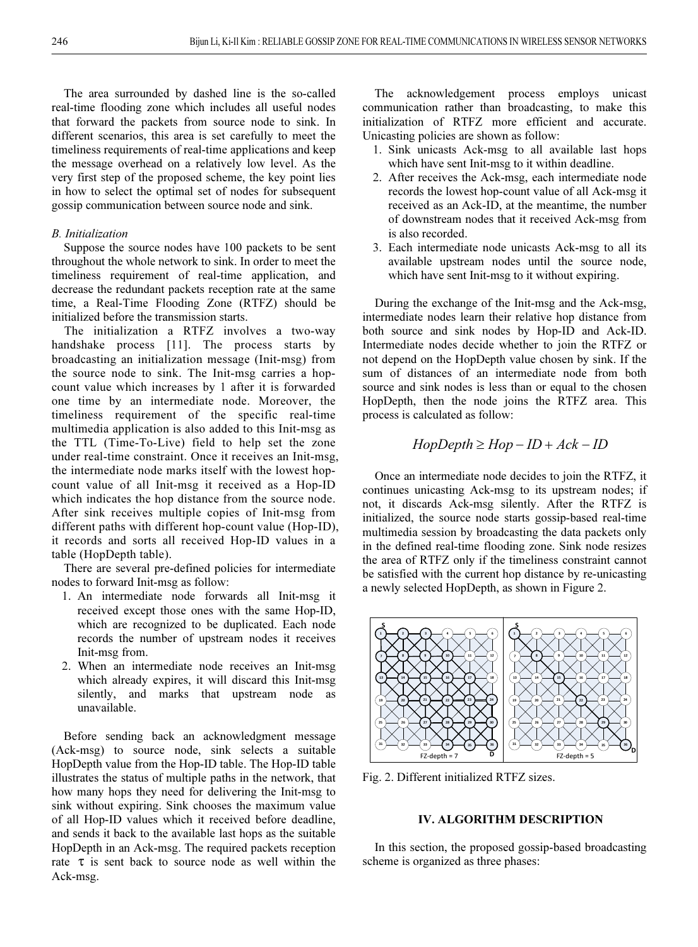The area surrounded by dashed line is the so-called real-time flooding zone which includes all useful nodes that forward the packets from source node to sink. In different scenarios, this area is set carefully to meet the timeliness requirements of real-time applications and keep the message overhead on a relatively low level. As the very first step of the proposed scheme, the key point lies in how to select the optimal set of nodes for subsequent gossip communication between source node and sink.

# B. Initialization

Suppose the source nodes have 100 packets to be sent throughout the whole network to sink. In order to meet the timeliness requirement of real-time application, and decrease the redundant packets reception rate at the same time, a Real-Time Flooding Zone (RTFZ) should be initialized before the transmission starts.

The initialization a RTFZ involves a two-way handshake process [11]. The process starts by broadcasting an initialization message (Init-msg) from the source node to sink. The Init-msg carries a hopcount value which increases by 1 after it is forwarded one time by an intermediate node. Moreover, the timeliness requirement of the specific real-time multimedia application is also added to this Init-msg as the TTL (Time-To-Live) field to help set the zone under real-time constraint. Once it receives an Init-msg, the intermediate node marks itself with the lowest hopcount value of all Init-msg it received as a Hop-ID which indicates the hop distance from the source node. After sink receives multiple copies of Init-msg from different paths with different hop-count value (Hop-ID), it records and sorts all received Hop-ID values in a table (HopDepth table).

There are several pre-defined policies for intermediate nodes to forward Init-msg as follow:

- 1. An intermediate node forwards all Init-msg it received except those ones with the same Hop-ID, which are recognized to be duplicated. Each node records the number of upstream nodes it receives Init-msg from.
- 2. When an intermediate node receives an Init-msg which already expires, it will discard this Init-msg silently, and marks that upstream node as unavailable.

Before sending back an acknowledgment message (Ack-msg) to source node, sink selects a suitable HopDepth value from the Hop-ID table. The Hop-ID table illustrates the status of multiple paths in the network, that how many hops they need for delivering the Init-msg to sink without expiring. Sink chooses the maximum value of all Hop-ID values which it received before deadline, and sends it back to the available last hops as the suitable HopDepth in an Ack-msg. The required packets reception rate  $\tau$  is sent back to source node as well within the Ack-msg.

The acknowledgement process employs unicast communication rather than broadcasting, to make this initialization of RTFZ more efficient and accurate. Unicasting policies are shown as follow:

- 1. Sink unicasts Ack-msg to all available last hops which have sent Init-msg to it within deadline.
- 2. After receives the Ack-msg, each intermediate node records the lowest hop-count value of all Ack-msg it received as an Ack-ID, at the meantime, the number of downstream nodes that it received Ack-msg from is also recorded.
- 3. Each intermediate node unicasts Ack-msg to all its available upstream nodes until the source node, which have sent Init-msg to it without expiring.

During the exchange of the Init-msg and the Ack-msg, intermediate nodes learn their relative hop distance from both source and sink nodes by Hop-ID and Ack-ID. Intermediate nodes decide whether to join the RTFZ or not depend on the HopDepth value chosen by sink. If the sum of distances of an intermediate node from both source and sink nodes is less than or equal to the chosen HopDepth, then the node joins the RTFZ area. This process is calculated as follow:

# $HopDepth \ge Hop - ID + Ack - ID$

Once an intermediate node decides to join the RTFZ, it continues unicasting Ack-msg to its upstream nodes; if not, it discards Ack-msg silently. After the RTFZ is initialized, the source node starts gossip-based real-time multimedia session by broadcasting the data packets only in the defined real-time flooding zone. Sink node resizes the area of RTFZ only if the timeliness constraint cannot be satisfied with the current hop distance by re-unicasting a newly selected HopDepth, as shown in Figure 2.



Fig. 2. Different initialized RTFZ sizes.

# IV. ALGORITHM DESCRIPTION

In this section, the proposed gossip-based broadcasting scheme is organized as three phases: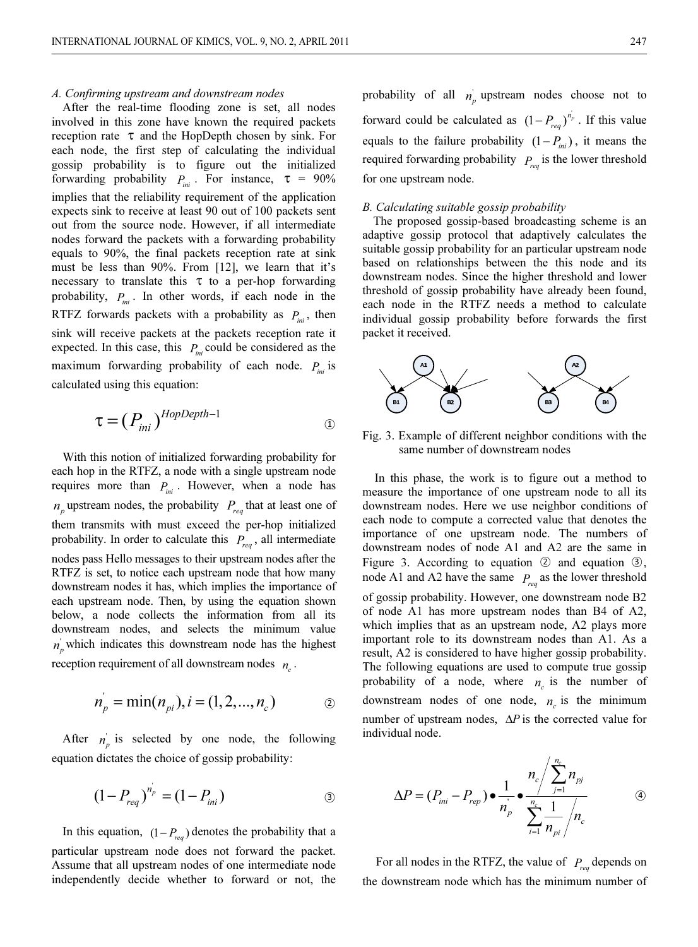### A. Confirming upstream and downstream nodes

After the real-time flooding zone is set, all nodes involved in this zone have known the required packets reception rate  $\tau$  and the HopDepth chosen by sink. For each node, the first step of calculating the individual gossip probability is to figure out the initialized forwarding probability  $P_{ini}$ . For instance,  $\tau = 90\%$ implies that the reliability requirement of the application expects sink to receive at least 90 out of 100 packets sent out from the source node. However, if all intermediate nodes forward the packets with a forwarding probability equals to 90%, the final packets reception rate at sink must be less than 90%. From [12], we learn that it's necessary to translate this  $\tau$  to a per-hop forwarding probability,  $P_{in}$ . In other words, if each node in the RTFZ forwards packets with a probability as  $P_{ini}$ , then sink will receive packets at the packets reception rate it expected. In this case, this  $P_{ini}$  could be considered as the maximum forwarding probability of each node.  $P_{ini}$  is calculated using this equation:

$$
\tau = (P_{ini})^{HopDepth-1}
$$

With this notion of initialized forwarding probability for each hop in the RTFZ, a node with a single upstream node requires more than  $P_{ini}$ . However, when a node has  $n_p$  upstream nodes, the probability  $P_{req}$  that at least one of them transmits with must exceed the per-hop initialized probability. In order to calculate this  $P_{req}$ , all intermediate nodes pass Hello messages to their upstream nodes after the RTFZ is set, to notice each upstream node that how many downstream nodes it has, which implies the importance of each upstream node. Then, by using the equation shown below, a node collects the information from all its downstream nodes, and selects the minimum value  $n_p$  which indicates this downstream node has the highest reception requirement of all downstream nodes  $n_c$ .

$$
n_{p}^{'} = \min(n_{pi}), i = (1, 2, ..., n_{c})
$$

After  $n_p$  is selected by one node, the following equation dictates the choice of gossip probability:

$$
(1 - P_{req})^{n_p} = (1 - P_{ini})
$$

In this equation,  $(1 - P_{req})$  denotes the probability that a particular upstream node does not forward the packet. Assume that all upstream nodes of one intermediate node independently decide whether to forward or not, the

probability of all  $n_p$  upstream nodes choose not to forward could be calculated as  $(1-P_{\text{real}})^{n_p}$ . If this value modes choose not to  $(1 - P_{req})^{n_p}$ . If this value equals to the failure probability  $(1 - P_{ini})$ , it means the required forwarding probability  $P_{\text{rea}}$  is the lower threshold for one upstream node.

The proposed gossip-based broadcasting scheme is an adaptive gossip protocol that adaptively calculates the suitable gossip probability for an particular upstream node based on relationships between the this node and its downstream nodes. Since the higher threshold and lower threshold of gossip probability have already been found, each node in the RTFZ needs a method to calculate individual gossip probability before forwards the first packet it received.



Fig. 3. Example of different neighbor conditions with the same number of downstream nodes

In this phase, the work is to figure out a method to measure the importance of one upstream node to all its downstream nodes. Here we use neighbor conditions of each node to compute a corrected value that denotes the importance of one upstream node. The numbers of downstream nodes of node A1 and A2 are the same in Figure 3. According to equation  $\odot$  and equation  $\odot$ , node A1 and A2 have the same  $P_{\text{req}}$  as the lower threshold of gossip probability. However, one downstream node B2 of node A1 has more upstream nodes than B4 of A2, which implies that as an upstream node, A2 plays more important role to its downstream nodes than A1. As a result, A2 is considered to have higher gossip probability. The following equations are used to compute true gossip probability of a node, where  $n_c$  is the number of downstream nodes of one node,  $n_c$  is the minimum number of upstream nodes,  $\Delta P$  is the corrected value for individual node.

$$
\Delta P = (P_{\text{ini}} - P_{\text{rep}}) \bullet \frac{1}{n_{\text{p}}'} \bullet \frac{n_{\text{c}}}{\sum_{i=1}^{n_{\text{c}}} \frac{1}{n_{\text{pi}}}} / n_{\text{c}}
$$

For all nodes in the RTFZ, the value of  $P_{req}$  depends on the downstream node which has the minimum number of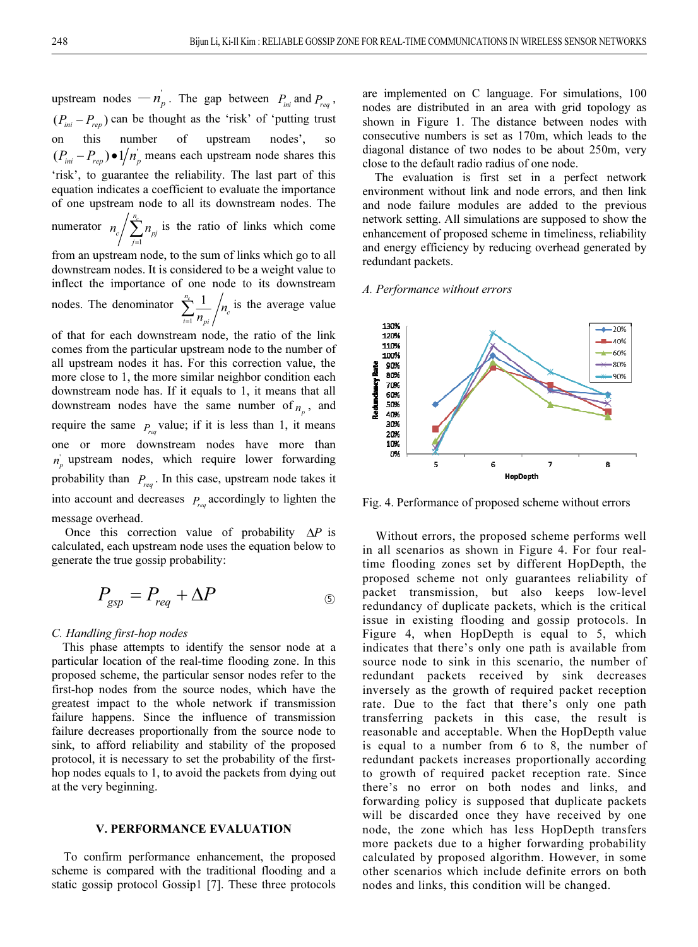upstream nodes  $-n_p$ . The gap between  $P_{ini}$  and  $P_{req}$ , upstream nodes  $-n_p$ . The gap between  $P_{ini}$  and  $P_{req}$ ,<br> $(P_{ini} - P_{rep})$  can be thought as the 'risk' of 'putting trust on this number of upstream nodes', so  $(P_{\text{ini}} - P_{\text{rep}}) \bullet 1/n_p$  means each upstream node shares this 'risk', to guarantee the reliability. The last part of this equation indicates a coefficient to evaluate the importance of one upstream node to all its downstream nodes. The numerator 1  $n_c$  $\begin{array}{c} \n\epsilon \left\langle \right. & \left. \sum_{j=1}^{I^*} p_j \right. \n\end{array}$  $n_c / \sum_{p} n_{p}$  is the ratio of links which come

from an upstream node, to the sum of links which go to all downstream nodes. It is considered to be a weight value to inflect the importance of one node to its downstream

nodes. The denominator 
$$
\sum_{i=1}^{n_c} \frac{1}{n_{pi}} / n_c
$$
 is the average value of that for each downstream node, the ratio of the link

comes from the particular upstream node to the number of all upstream nodes it has. For this correction value, the more close to 1, the more similar neighbor condition each downstream node has. If it equals to 1, it means that all downstream nodes have the same number of  $n_n$ , and require the same  $P_{\text{reco}}$  value; if it is less than 1, it means one or more downstream nodes have more than  $n_p$  upstream nodes, which require lower forwarding probability than  $P_{req}$ . In this case, upstream node takes it into account and decreases  $P_{\text{res}}$  accordingly to lighten the message overhead.

Once this correction value of probability  $\Delta P$  is calculated, each upstream node uses the equation below to generate the true gossip probability:

$$
P_{gsp} = P_{req} + \Delta P
$$

### C. Handling first-hop nodes

This phase attempts to identify the sensor node at a particular location of the real-time flooding zone. In this proposed scheme, the particular sensor nodes refer to the first-hop nodes from the source nodes, which have the greatest impact to the whole network if transmission failure happens. Since the influence of transmission failure decreases proportionally from the source node to sink, to afford reliability and stability of the proposed protocol, it is necessary to set the probability of the firsthop nodes equals to 1, to avoid the packets from dying out at the very beginning.

# V. PERFORMANCE EVALUATION

To confirm performance enhancement, the proposed scheme is compared with the traditional flooding and a static gossip protocol Gossip1 [7]. These three protocols are implemented on C language. For simulations, 100 nodes are distributed in an area with grid topology as shown in Figure 1. The distance between nodes with consecutive numbers is set as 170m, which leads to the diagonal distance of two nodes to be about 250m, very close to the default radio radius of one node.

The evaluation is first set in a perfect network environment without link and node errors, and then link and node failure modules are added to the previous network setting. All simulations are supposed to show the enhancement of proposed scheme in timeliness, reliability and energy efficiency by reducing overhead generated by redundant packets.

### A. Performance without errors



Fig. 4. Performance of proposed scheme without errors

Without errors, the proposed scheme performs well in all scenarios as shown in Figure 4. For four realtime flooding zones set by different HopDepth, the proposed scheme not only guarantees reliability of packet transmission, but also keeps low-level redundancy of duplicate packets, which is the critical issue in existing flooding and gossip protocols. In Figure 4, when HopDepth is equal to 5, which indicates that there's only one path is available from source node to sink in this scenario, the number of redundant packets received by sink decreases inversely as the growth of required packet reception rate. Due to the fact that there's only one path transferring packets in this case, the result is reasonable and acceptable. When the HopDepth value is equal to a number from 6 to 8, the number of redundant packets increases proportionally according to growth of required packet reception rate. Since there's no error on both nodes and links, and forwarding policy is supposed that duplicate packets will be discarded once they have received by one node, the zone which has less HopDepth transfers more packets due to a higher forwarding probability calculated by proposed algorithm. However, in some other scenarios which include definite errors on both nodes and links, this condition will be changed.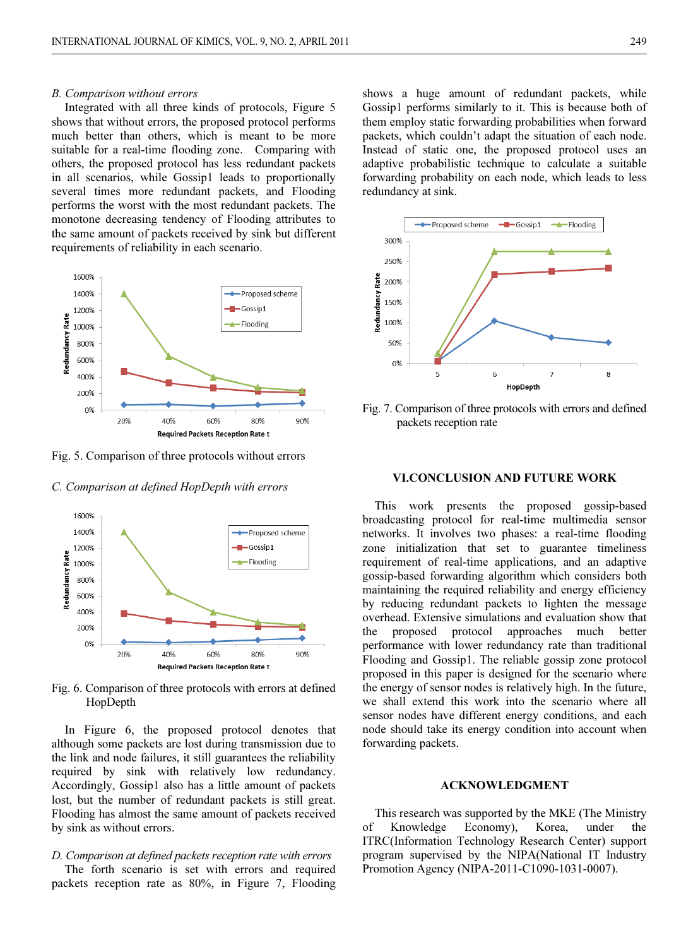### B. Comparison without errors

Integrated with all three kinds of protocols, Figure 5 shows that without errors, the proposed protocol performs much better than others, which is meant to be more suitable for a real-time flooding zone. Comparing with others, the proposed protocol has less redundant packets in all scenarios, while Gossip1 leads to proportionally several times more redundant packets, and Flooding performs the worst with the most redundant packets. The monotone decreasing tendency of Flooding attributes to the same amount of packets received by sink but different requirements of reliability in each scenario.



Fig. 5. Comparison of three protocols without errors

C. Comparison at defined HopDepth with errors



Fig. 6. Comparison of three protocols with errors at defined HopDepth

In Figure 6, the proposed protocol denotes that although some packets are lost during transmission due to the link and node failures, it still guarantees the reliability required by sink with relatively low redundancy. Accordingly, Gossip1 also has a little amount of packets lost, but the number of redundant packets is still great. Flooding has almost the same amount of packets received by sink as without errors.

# D. Comparison at defined packets reception rate with errors The forth scenario is set with errors and required packets reception rate as 80%, in Figure 7, Flooding

shows a huge amount of redundant packets, while Gossip1 performs similarly to it. This is because both of them employ static forwarding probabilities when forward packets, which couldn't adapt the situation of each node. Instead of static one, the proposed protocol uses an adaptive probabilistic technique to calculate a suitable forwarding probability on each node, which leads to less redundancy at sink.



Fig. 7. Comparison of three protocols with errors and defined packets reception rate

# VI.CONCLUSION AND FUTURE WORK

This work presents the proposed gossip-based broadcasting protocol for real-time multimedia sensor networks. It involves two phases: a real-time flooding zone initialization that set to guarantee timeliness requirement of real-time applications, and an adaptive gossip-based forwarding algorithm which considers both maintaining the required reliability and energy efficiency by reducing redundant packets to lighten the message overhead. Extensive simulations and evaluation show that the proposed protocol approaches much better performance with lower redundancy rate than traditional Flooding and Gossip1. The reliable gossip zone protocol proposed in this paper is designed for the scenario where the energy of sensor nodes is relatively high. In the future, we shall extend this work into the scenario where all sensor nodes have different energy conditions, and each node should take its energy condition into account when forwarding packets.

### ACKNOWLEDGMENT

This research was supported by the MKE (The Ministry of Knowledge Economy), Korea, under the ITRC(Information Technology Research Center) support program supervised by the NIPA(National IT Industry Promotion Agency (NIPA-2011-C1090-1031-0007).